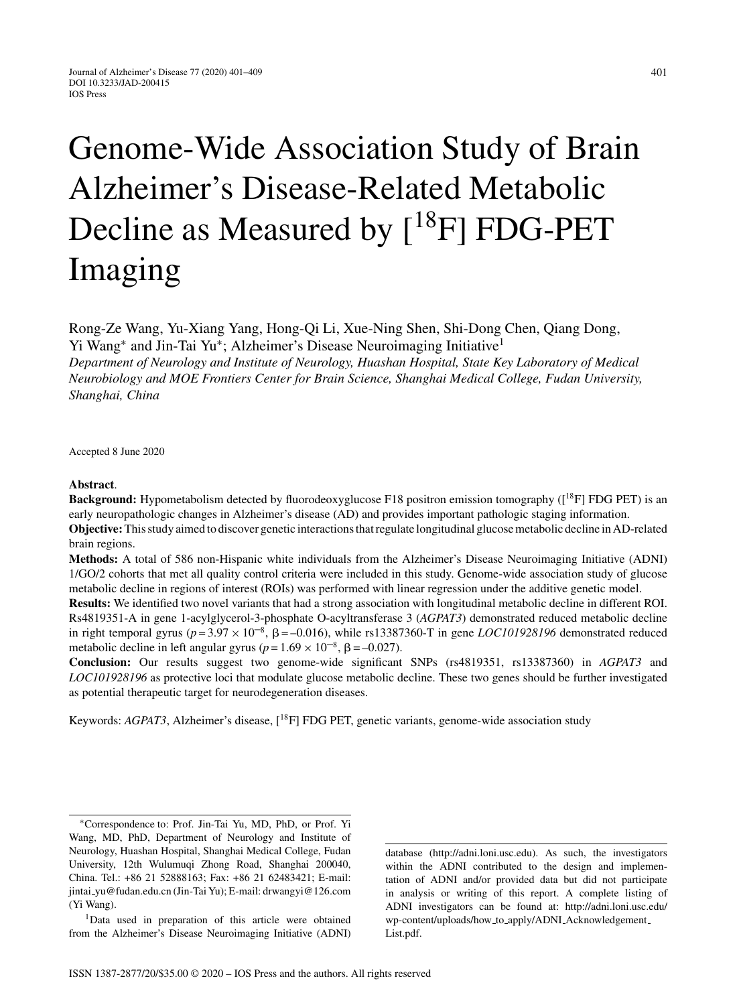# Genome-Wide Association Study of Brain Alzheimer's Disease-Related Metabolic Decline as Measured by  $[{}^{18}F]$  FDG-PET

Rong-Ze Wang, Yu-Xiang Yang, Hong-Qi Li, Xue-Ning Shen, Shi-Dong Chen, Qiang Dong, Yi Wang<sup>∗</sup> and Jin-Tai Yu∗; Alzheimer's Disease Neuroimaging Initiative1

*Department of Neurology and Institute of Neurology, Huashan Hospital, State Key Laboratory of Medical Neurobiology and MOE Frontiers Center for Brain Science, Shanghai Medical College, Fudan University, Shanghai, China*

Accepted 8 June 2020

Imaging

#### **Abstract**.

**Background:** Hypometabolism detected by fluorodeoxyglucose F18 positron emission tomography ([<sup>18</sup>F] FDG PET) is an early neuropathologic changes in Alzheimer's disease (AD) and provides important pathologic staging information. **Objective:**This study aimed to discover genetic interactions that regulate longitudinal glucose metabolic decline in AD-related brain regions.

**Methods:** A total of 586 non-Hispanic white individuals from the Alzheimer's Disease Neuroimaging Initiative (ADNI) 1/GO/2 cohorts that met all quality control criteria were included in this study. Genome-wide association study of glucose metabolic decline in regions of interest (ROIs) was performed with linear regression under the additive genetic model.

**Results:** We identified two novel variants that had a strong association with longitudinal metabolic decline in different ROI. Rs4819351-A in gene 1-acylglycerol-3-phosphate O-acyltransferase 3 (*AGPAT3*) demonstrated reduced metabolic decline in right temporal gyrus ( $p = 3.97 \times 10^{-8}$ ,  $\beta = -0.016$ ), while rs13387360-T in gene *LOC101928196* demonstrated reduced metabolic decline in left angular gyrus ( $p = 1.69 \times 10^{-8}$ ,  $\beta = -0.027$ ).

**Conclusion:** Our results suggest two genome-wide significant SNPs (rs4819351, rs13387360) in *AGPAT3* and *LOC101928196* as protective loci that modulate glucose metabolic decline. These two genes should be further investigated as potential therapeutic target for neurodegeneration diseases.

Keywords: *AGPAT3*, Alzheimer's disease, [18F] FDG PET, genetic variants, genome-wide association study

database (<http://adni.loni.usc.edu>). As such, the investigators within the ADNI contributed to the design and implementation of ADNI and/or provided data but did not participate in analysis or writing of this report. A complete listing of ADNI investigators can be found at: [http://adni.loni.usc.edu/](http://adni.loni.usc.edu/wp-content/uploads/how_to_apply/ADNI_Acknowledgement_List.pdf) [wp-content/uploads/how](http://adni.loni.usc.edu/wp-content/uploads/how_to_apply/ADNI_Acknowledgement_List.pdf) to apply/ADNI Acknowledgement [List.pdf.](http://adni.loni.usc.edu/wp-content/uploads/how_to_apply/ADNI_Acknowledgement_List.pdf)

<sup>∗</sup>Correspondence to: Prof. Jin-Tai Yu, MD, PhD, or Prof. Yi Wang, MD, PhD, Department of Neurology and Institute of Neurology, Huashan Hospital, Shanghai Medical College, Fudan University, 12th Wulumuqi Zhong Road, Shanghai 200040, China. Tel.: +86 21 52888163; Fax: +86 21 62483421; E-mail: jintai [yu@fudan.edu.cn](mailto:jintai_yu@fudan.edu.cn) (Jin-Tai Yu); E-mail: [drwangyi@126.com](mailto:drwangyi@126.com) (Yi Wang).

<sup>1</sup>Data used in preparation of this article were obtained from the Alzheimer's Disease Neuroimaging Initiative (ADNI)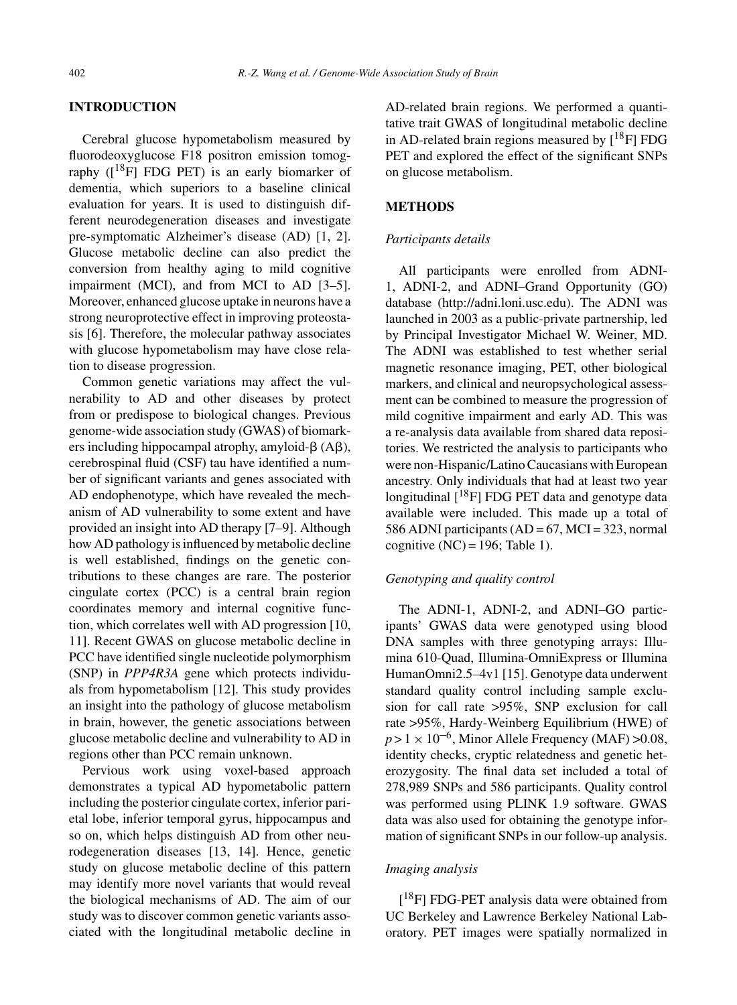#### **INTRODUCTION**

Cerebral glucose hypometabolism measured by fluorodeoxyglucose F18 positron emission tomography  $(I^{18}F]$  FDG PET) is an early biomarker of dementia, which superiors to a baseline clinical evaluation for years. It is used to distinguish different neurodegeneration diseases and investigate pre-symptomatic Alzheimer's disease (AD) [1, 2]. Glucose metabolic decline can also predict the conversion from healthy aging to mild cognitive impairment (MCI), and from MCI to AD [3–5]. Moreover, enhanced glucose uptake in neurons have a strong neuroprotective effect in improving proteostasis [6]. Therefore, the molecular pathway associates with glucose hypometabolism may have close relation to disease progression.

Common genetic variations may affect the vulnerability to AD and other diseases by protect from or predispose to biological changes. Previous genome-wide association study (GWAS) of biomarkers including hippocampal atrophy, amyloid- $\beta$  (A $\beta$ ), cerebrospinal fluid (CSF) tau have identified a number of significant variants and genes associated with AD endophenotype, which have revealed the mechanism of AD vulnerability to some extent and have provided an insight into AD therapy [7–9]. Although how AD pathology is influenced by metabolic decline is well established, findings on the genetic contributions to these changes are rare. The posterior cingulate cortex (PCC) is a central brain region coordinates memory and internal cognitive function, which correlates well with AD progression [10, 11]. Recent GWAS on glucose metabolic decline in PCC have identified single nucleotide polymorphism (SNP) in *PPP4R3A* gene which protects individuals from hypometabolism [12]. This study provides an insight into the pathology of glucose metabolism in brain, however, the genetic associations between glucose metabolic decline and vulnerability to AD in regions other than PCC remain unknown.

Pervious work using voxel-based approach demonstrates a typical AD hypometabolic pattern including the posterior cingulate cortex, inferior parietal lobe, inferior temporal gyrus, hippocampus and so on, which helps distinguish AD from other neurodegeneration diseases [13, 14]. Hence, genetic study on glucose metabolic decline of this pattern may identify more novel variants that would reveal the biological mechanisms of AD. The aim of our study was to discover common genetic variants associated with the longitudinal metabolic decline in

AD-related brain regions. We performed a quantitative trait GWAS of longitudinal metabolic decline in AD-related brain regions measured by  $[18F]$  FDG PET and explored the effect of the significant SNPs on glucose metabolism.

## **METHODS**

#### *Participants details*

All participants were enrolled from ADNI-1, ADNI-2, and ADNI–Grand Opportunity (GO) database (<http://adni.loni.usc.edu>). The ADNI was launched in 2003 as a public-private partnership, led by Principal Investigator Michael W. Weiner, MD. The ADNI was established to test whether serial magnetic resonance imaging, PET, other biological markers, and clinical and neuropsychological assessment can be combined to measure the progression of mild cognitive impairment and early AD. This was a re-analysis data available from shared data repositories. We restricted the analysis to participants who were non-Hispanic/Latino Caucasians with European ancestry. Only individuals that had at least two year longitudinal  $[$ <sup>18</sup>F] FDG PET data and genotype data available were included. This made up a total of 586 ADNI participants  $(AD = 67, MCI = 323, normal$ cognitive  $(NC) = 196$ ; Table 1).

## *Genotyping and quality control*

The ADNI-1, ADNI-2, and ADNI–GO participants' GWAS data were genotyped using blood DNA samples with three genotyping arrays: Illumina 610-Quad, Illumina-OmniExpress or Illumina HumanOmni2.5–4v1 [15]. Genotype data underwent standard quality control including sample exclusion for call rate >95%, SNP exclusion for call rate >95%, Hardy-Weinberg Equilibrium (HWE) of  $p > 1 \times 10^{-6}$ , Minor Allele Frequency (MAF)  $> 0.08$ , identity checks, cryptic relatedness and genetic heterozygosity. The final data set included a total of 278,989 SNPs and 586 participants. Quality control was performed using PLINK 1.9 software. GWAS data was also used for obtaining the genotype information of significant SNPs in our follow-up analysis.

## *Imaging analysis*

[<sup>18</sup>F] FDG-PET analysis data were obtained from UC Berkeley and Lawrence Berkeley National Laboratory. PET images were spatially normalized in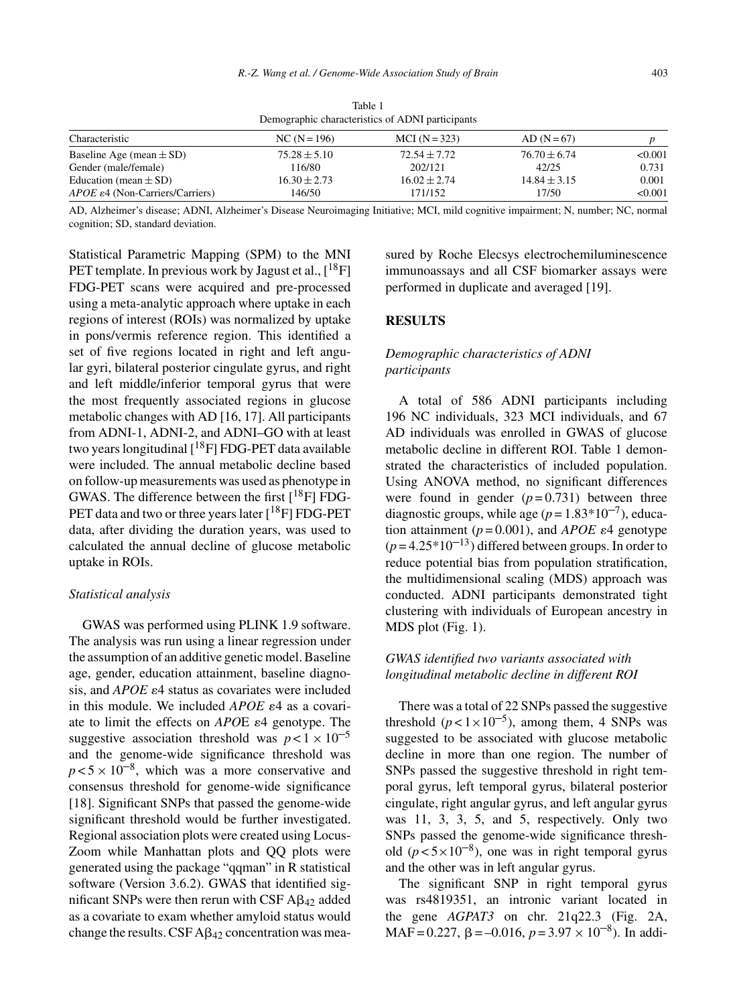| Demographic characteristics of ADNI participants |                  |                  |                  |         |  |  |  |  |
|--------------------------------------------------|------------------|------------------|------------------|---------|--|--|--|--|
| Characteristic                                   | $NC(N=196)$      | $MCI (N = 323)$  | $AD(N=67)$       |         |  |  |  |  |
| Baseline Age (mean $\pm$ SD)                     | $75.28 \pm 5.10$ | $72.54 + 7.72$   | $76.70 \pm 6.74$ | < 0.001 |  |  |  |  |
| Gender (male/female)                             | 116/80           | 202/121          | 42/25            | 0.731   |  |  |  |  |
| Education (mean $\pm$ SD)                        | $16.30 \pm 2.73$ | $16.02 \pm 2.74$ | $14.84 \pm 3.15$ | 0.001   |  |  |  |  |
| $APOE \varepsilon4$ (Non-Carriers/Carriers)      | 146/50           | 171/152          | 17/50            | < 0.001 |  |  |  |  |

Table 1 Demographic characteristics of ADNI participants

AD, Alzheimer's disease; ADNI, Alzheimer's Disease Neuroimaging Initiative; MCI, mild cognitive impairment; N, number; NC, normal cognition; SD, standard deviation.

Statistical Parametric Mapping (SPM) to the MNI PET template. In previous work by Jagust et al.,  $[18F]$ FDG-PET scans were acquired and pre-processed using a meta-analytic approach where uptake in each regions of interest (ROIs) was normalized by uptake in pons/vermis reference region. This identified a set of five regions located in right and left angular gyri, bilateral posterior cingulate gyrus, and right and left middle/inferior temporal gyrus that were the most frequently associated regions in glucose metabolic changes with AD [16, 17]. All participants from ADNI-1, ADNI-2, and ADNI–GO with at least two years longitudinal  $[$ <sup>18</sup>F] FDG-PET data available were included. The annual metabolic decline based on follow-up measurements was used as phenotype in GWAS. The difference between the first  $[$ <sup>18</sup>F] FDG-PET data and two or three years later  $[{}^{18}F]$  FDG-PET data, after dividing the duration years, was used to calculated the annual decline of glucose metabolic uptake in ROIs.

#### *Statistical analysis*

GWAS was performed using PLINK 1.9 software. The analysis was run using a linear regression under the assumption of an additive genetic model. Baseline age, gender, education attainment, baseline diagnosis, and  $APOE \epsilon 4$  status as covariates were included in this module. We included  $APOE$   $\varepsilon$ 4 as a covariate to limit the effects on *APO*E  $\varepsilon$ 4 genotype. The suggestive association threshold was  $p < 1 \times 10^{-5}$ and the genome-wide significance threshold was  $p < 5 \times 10^{-8}$ , which was a more conservative and consensus threshold for genome-wide significance [18]. Significant SNPs that passed the genome-wide significant threshold would be further investigated. Regional association plots were created using Locus-Zoom while Manhattan plots and QQ plots were generated using the package "qqman" in R statistical software (Version 3.6.2). GWAS that identified significant SNPs were then rerun with CSF  $\text{A}\beta_{42}$  added as a covariate to exam whether amyloid status would change the results. CSF  $A\beta_{42}$  concentration was measured by Roche Elecsys electrochemiluminescence immunoassays and all CSF biomarker assays were performed in duplicate and averaged [19].

## **RESULTS**

# *Demographic characteristics of ADNI participants*

A total of 586 ADNI participants including 196 NC individuals, 323 MCI individuals, and 67 AD individuals was enrolled in GWAS of glucose metabolic decline in different ROI. Table 1 demonstrated the characteristics of included population. Using ANOVA method, no significant differences were found in gender  $(p=0.731)$  between three diagnostic groups, while age  $(p=1.83*10^{-7})$ , education attainment  $(p=0.001)$ , and *APOE*  $\varepsilon$ 4 genotype  $(p=4.25*10^{-13})$  differed between groups. In order to reduce potential bias from population stratification, the multidimensional scaling (MDS) approach was conducted. ADNI participants demonstrated tight clustering with individuals of European ancestry in MDS plot (Fig. 1).

## *GWAS identified two variants associated with longitudinal metabolic decline in different ROI*

There was a total of 22 SNPs passed the suggestive threshold  $(p < 1 \times 10^{-5})$ , among them, 4 SNPs was suggested to be associated with glucose metabolic decline in more than one region. The number of SNPs passed the suggestive threshold in right temporal gyrus, left temporal gyrus, bilateral posterior cingulate, right angular gyrus, and left angular gyrus was 11, 3, 3, 5, and 5, respectively. Only two SNPs passed the genome-wide significance threshold  $(p < 5 \times 10^{-8})$ , one was in right temporal gyrus and the other was in left angular gyrus.

The significant SNP in right temporal gyrus was rs4819351, an intronic variant located in the gene *AGPAT3* on chr. 21q22.3 (Fig. 2A, MAF = 0.227,  $\beta$  = -0.016,  $p = 3.97 \times 10^{-8}$ ). In addi-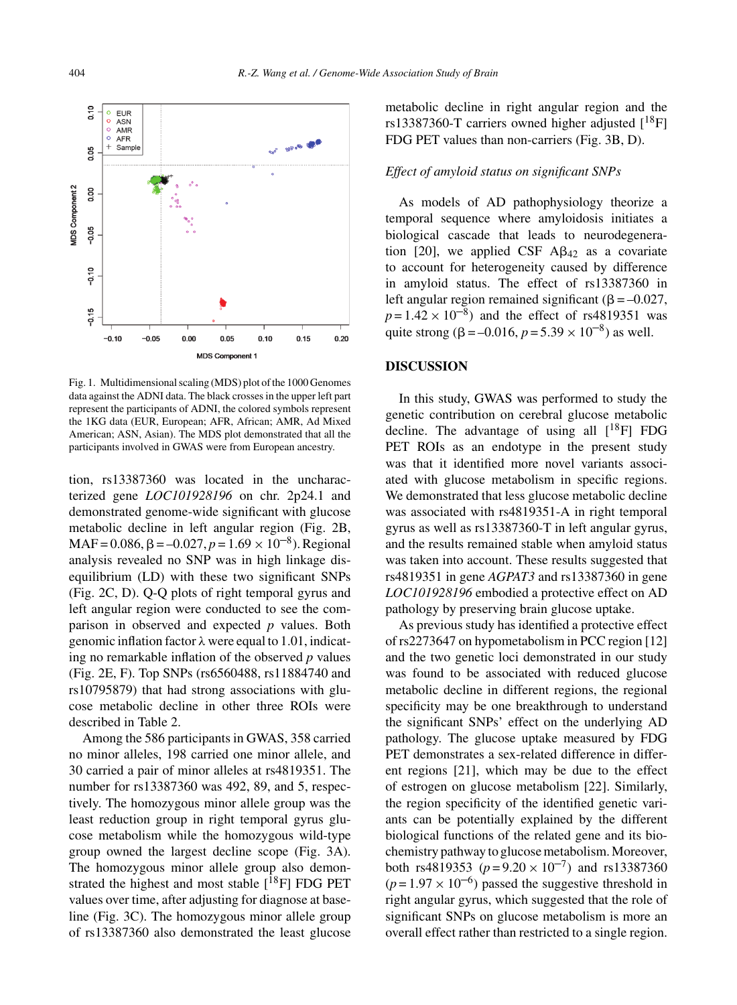

Fig. 1. Multidimensional scaling (MDS) plot of the 1000 Genomes data against the ADNI data. The black crosses in the upper left part represent the participants of ADNI, the colored symbols represent the 1KG data (EUR, European; AFR, African; AMR, Ad Mixed American; ASN, Asian). The MDS plot demonstrated that all the participants involved in GWAS were from European ancestry.

tion, rs13387360 was located in the uncharacterized gene *LOC101928196* on chr. 2p24.1 and demonstrated genome-wide significant with glucose metabolic decline in left angular region (Fig. 2B,  $MAF = 0.086$ ,  $\beta = -0.027$ ,  $p = 1.69 \times 10^{-8}$ ). Regional analysis revealed no SNP was in high linkage disequilibrium (LD) with these two significant SNPs (Fig. 2C, D). Q-Q plots of right temporal gyrus and left angular region were conducted to see the comparison in observed and expected *p* values. Both genomic inflation factor  $\lambda$  were equal to 1.01, indicating no remarkable inflation of the observed *p* values (Fig. 2E, F). Top SNPs (rs6560488, rs11884740 and rs10795879) that had strong associations with glucose metabolic decline in other three ROIs were described in Table 2.

Among the 586 participants in GWAS, 358 carried no minor alleles, 198 carried one minor allele, and 30 carried a pair of minor alleles at rs4819351. The number for rs13387360 was 492, 89, and 5, respectively. The homozygous minor allele group was the least reduction group in right temporal gyrus glucose metabolism while the homozygous wild-type group owned the largest decline scope (Fig. 3A). The homozygous minor allele group also demonstrated the highest and most stable  $[$ <sup>18</sup>F] FDG PET values over time, after adjusting for diagnose at baseline (Fig. 3C). The homozygous minor allele group of rs13387360 also demonstrated the least glucose

metabolic decline in right angular region and the rs13387360-T carriers owned higher adjusted  $[$ <sup>18</sup>F] FDG PET values than non-carriers (Fig. 3B, D).

#### *Effect of amyloid status on significant SNPs*

As models of AD pathophysiology theorize a temporal sequence where amyloidosis initiates a biological cascade that leads to neurodegeneration [20], we applied CSF  $A\beta_{42}$  as a covariate to account for heterogeneity caused by difference in amyloid status. The effect of rs13387360 in left angular region remained significant ( $\beta = -0.027$ ,  $p = 1.42 \times 10^{-8}$  and the effect of rs4819351 was quite strong ( $\beta = -0.016$ ,  $p = 5.39 \times 10^{-8}$ ) as well.

#### **DISCUSSION**

In this study, GWAS was performed to study the genetic contribution on cerebral glucose metabolic decline. The advantage of using all  $[18F]$  FDG PET ROIs as an endotype in the present study was that it identified more novel variants associated with glucose metabolism in specific regions. We demonstrated that less glucose metabolic decline was associated with rs4819351-A in right temporal gyrus as well as rs13387360-T in left angular gyrus, and the results remained stable when amyloid status was taken into account. These results suggested that rs4819351 in gene *AGPAT3* and rs13387360 in gene *LOC101928196* embodied a protective effect on AD pathology by preserving brain glucose uptake.

As previous study has identified a protective effect of rs2273647 on hypometabolism in PCC region [12] and the two genetic loci demonstrated in our study was found to be associated with reduced glucose metabolic decline in different regions, the regional specificity may be one breakthrough to understand the significant SNPs' effect on the underlying AD pathology. The glucose uptake measured by FDG PET demonstrates a sex-related difference in different regions [21], which may be due to the effect of estrogen on glucose metabolism [22]. Similarly, the region specificity of the identified genetic variants can be potentially explained by the different biological functions of the related gene and its biochemistry pathway to glucose metabolism. Moreover, both rs4819353 ( $p = 9.20 \times 10^{-7}$ ) and rs13387360  $(p=1.97 \times 10^{-6})$  passed the suggestive threshold in right angular gyrus, which suggested that the role of significant SNPs on glucose metabolism is more an overall effect rather than restricted to a single region.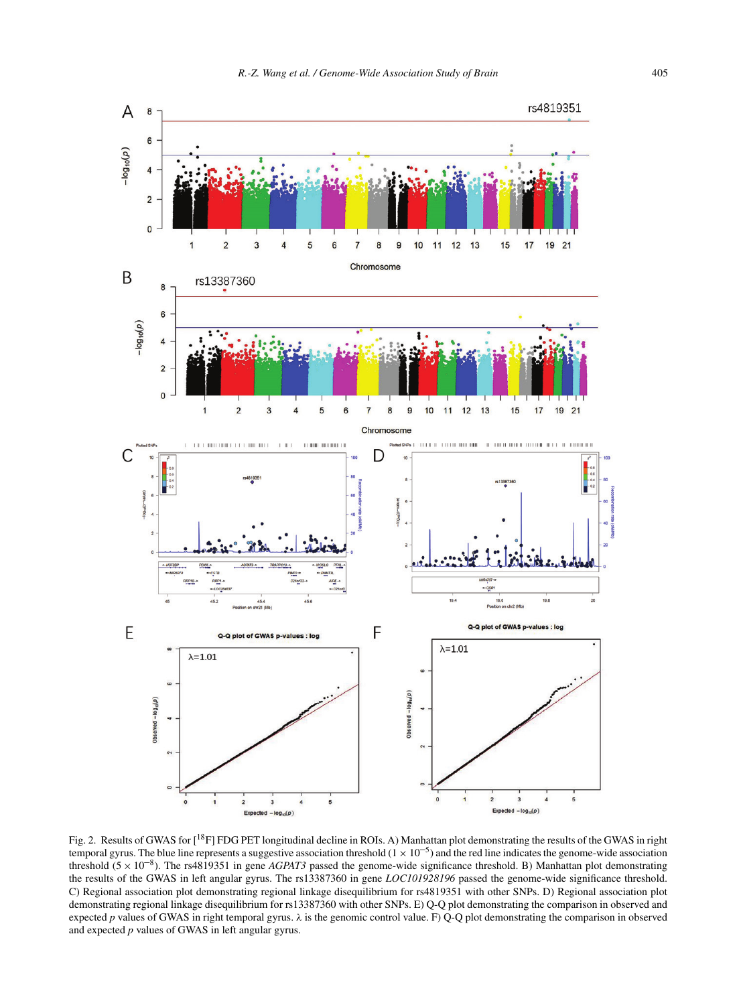

Fig. 2. Results of GWAS for [<sup>18</sup>F] FDG PET longitudinal decline in ROIs. A) Manhattan plot demonstrating the results of the GWAS in right temporal gyrus. The blue line represents a suggestive association threshold  $(1 \times 10^{-5})$  and the red line indicates the genome-wide association threshold  $(5 \times 10^{-8})$ . The rs4819351 in gene *AGPAT3* passed the genome-wide significance threshold. B) Manhattan plot demonstrating the results of the GWAS in left angular gyrus. The rs13387360 in gene *LOC101928196* passed the genome-wide significance threshold. C) Regional association plot demonstrating regional linkage disequilibrium for rs4819351 with other SNPs. D) Regional association plot demonstrating regional linkage disequilibrium for rs13387360 with other SNPs. E) Q-Q plot demonstrating the comparison in observed and expected *p* values of GWAS in right temporal gyrus. λ is the genomic control value. F) Q-Q plot demonstrating the comparison in observed and expected *p* values of GWAS in left angular gyrus.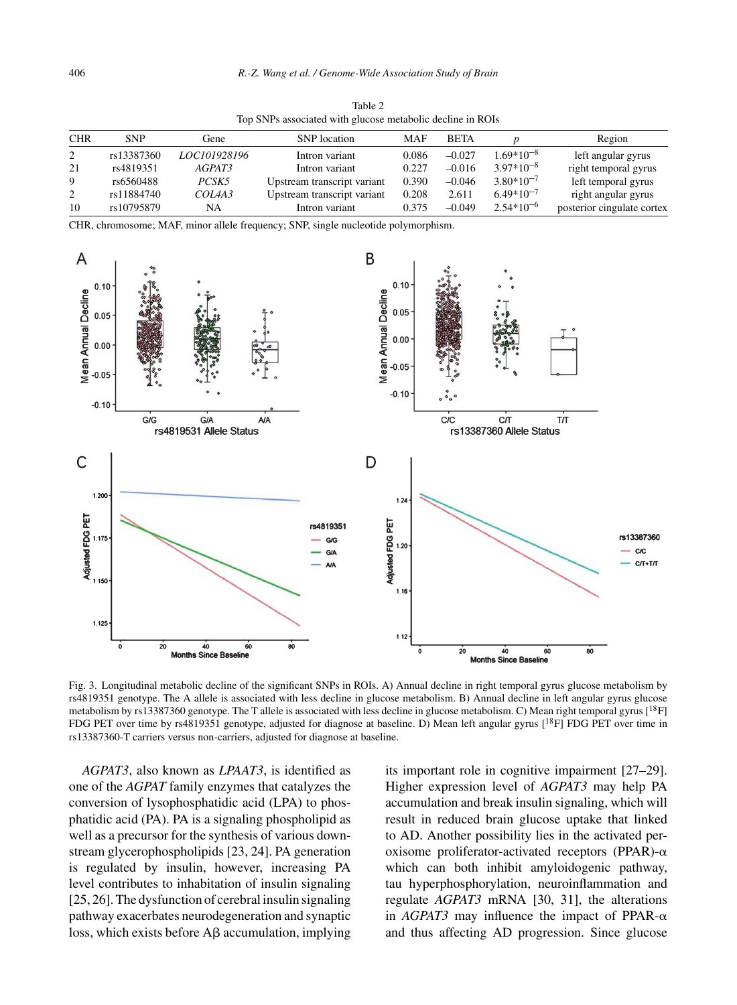| Top SNPs associated with glucose metabolic decline in ROIs |            |              |                             |       |             |                |                            |  |  |
|------------------------------------------------------------|------------|--------------|-----------------------------|-------|-------------|----------------|----------------------------|--|--|
| <b>CHR</b>                                                 | <b>SNP</b> | Gene         | <b>SNP</b> location         | MAF   | <b>BETA</b> |                | Region                     |  |  |
| 2                                                          | rs13387360 | LOC101928196 | Intron variant              | 0.086 | $-0.027$    | $1.69*10^{-8}$ | left angular gyrus         |  |  |
| 21                                                         | rs4819351  | AGPAT3       | Intron variant              | 0.227 | $-0.016$    | $3.97*10^{-8}$ | right temporal gyrus       |  |  |
| 9                                                          | rs6560488  | PCSK5        | Upstream transcript variant | 0.390 | $-0.046$    | $3.80*10^{-7}$ | left temporal gyrus        |  |  |
| $\overline{2}$                                             | rs11884740 | COL4A3       | Upstream transcript variant | 0.208 | 2.611       | $6.49*10^{-7}$ | right angular gyrus        |  |  |
| 10                                                         | rs10795879 | NA           | Intron variant              | 0.375 | $-0.049$    | $2.54*10^{-6}$ | posterior cingulate cortex |  |  |

Table 2

CHR, chromosome; MAF, minor allele frequency; SNP, single nucleotide polymorphism.



Fig. 3. Longitudinal metabolic decline of the significant SNPs in ROIs. A) Annual decline in right temporal gyrus glucose metabolism by rs4819351 genotype. The A allele is associated with less decline in glucose metabolism. B) Annual decline in left angular gyrus glucose metabolism by rs13387360 genotype. The T allele is associated with less decline in glucose metabolism. C) Mean right temporal gyrus  $[18F]$ FDG PET over time by rs4819351 genotype, adjusted for diagnose at baseline. D) Mean left angular gyrus [<sup>18</sup>F] FDG PET over time in rs13387360-T carriers versus non-carriers, adjusted for diagnose at baseline.

*AGPAT3*, also known as *LPAAT3*, is identified as one of the *AGPAT* family enzymes that catalyzes the conversion of lysophosphatidic acid (LPA) to phosphatidic acid (PA). PA is a signaling phospholipid as well as a precursor for the synthesis of various downstream glycerophospholipids [23, 24]. PA generation is regulated by insulin, however, increasing PA level contributes to inhabitation of insulin signaling [25, 26]. The dysfunction of cerebral insulin signaling pathway exacerbates neurodegeneration and synaptic loss, which exists before  $\text{A}\beta$  accumulation, implying

its important role in cognitive impairment [27–29]. Higher expression level of *AGPAT3* may help PA accumulation and break insulin signaling, which will result in reduced brain glucose uptake that linked to AD. Another possibility lies in the activated peroxisome proliferator-activated receptors (PPAR)- $\alpha$ which can both inhibit amyloidogenic pathway, tau hyperphosphorylation, neuroinflammation and regulate *AGPAT3* mRNA [30, 31], the alterations in  $AGPAT3$  may influence the impact of PPAR- $\alpha$ and thus affecting AD progression. Since glucose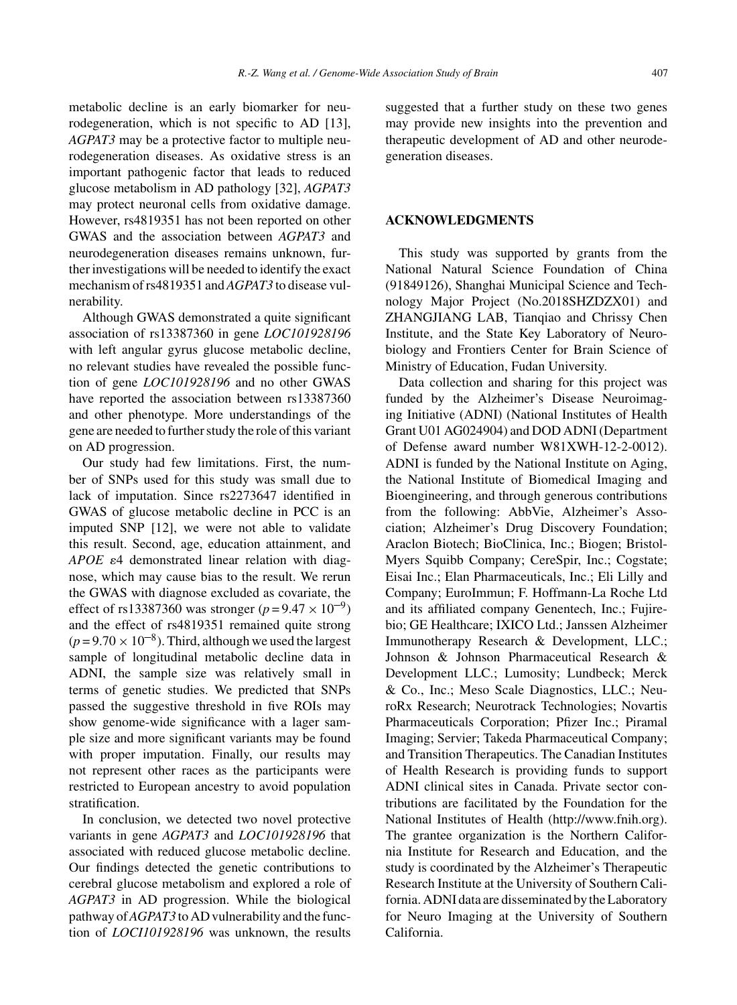metabolic decline is an early biomarker for neurodegeneration, which is not specific to AD [13], *AGPAT3* may be a protective factor to multiple neurodegeneration diseases. As oxidative stress is an important pathogenic factor that leads to reduced glucose metabolism in AD pathology [32], *AGPAT3* may protect neuronal cells from oxidative damage. However, rs4819351 has not been reported on other GWAS and the association between *AGPAT3* and neurodegeneration diseases remains unknown, further investigations will be needed to identify the exact mechanism of rs4819351 and *AGPAT3* to disease vulnerability.

Although GWAS demonstrated a quite significant association of rs13387360 in gene *LOC101928196* with left angular gyrus glucose metabolic decline, no relevant studies have revealed the possible function of gene *LOC101928196* and no other GWAS have reported the association between rs13387360 and other phenotype. More understandings of the gene are needed to further study the role of this variant on AD progression.

Our study had few limitations. First, the number of SNPs used for this study was small due to lack of imputation. Since rs2273647 identified in GWAS of glucose metabolic decline in PCC is an imputed SNP [12], we were not able to validate this result. Second, age, education attainment, and APOE  $\varepsilon$ 4 demonstrated linear relation with diagnose, which may cause bias to the result. We rerun the GWAS with diagnose excluded as covariate, the effect of rs13387360 was stronger ( $p = 9.47 \times 10^{-9}$ ) and the effect of rs4819351 remained quite strong  $(p=9.70 \times 10^{-8})$ . Third, although we used the largest sample of longitudinal metabolic decline data in ADNI, the sample size was relatively small in terms of genetic studies. We predicted that SNPs passed the suggestive threshold in five ROIs may show genome-wide significance with a lager sample size and more significant variants may be found with proper imputation. Finally, our results may not represent other races as the participants were restricted to European ancestry to avoid population stratification.

In conclusion, we detected two novel protective variants in gene *AGPAT3* and *LOC101928196* that associated with reduced glucose metabolic decline. Our findings detected the genetic contributions to cerebral glucose metabolism and explored a role of *AGPAT3* in AD progression. While the biological pathway of*AGPAT3* to AD vulnerability and the function of *LOCI101928196* was unknown, the results

suggested that a further study on these two genes may provide new insights into the prevention and therapeutic development of AD and other neurodegeneration diseases.

#### **ACKNOWLEDGMENTS**

This study was supported by grants from the National Natural Science Foundation of China (91849126), Shanghai Municipal Science and Technology Major Project (No.2018SHZDZX01) and ZHANGJIANG LAB, Tianqiao and Chrissy Chen Institute, and the State Key Laboratory of Neurobiology and Frontiers Center for Brain Science of Ministry of Education, Fudan University.

Data collection and sharing for this project was funded by the Alzheimer's Disease Neuroimaging Initiative (ADNI) (National Institutes of Health Grant U01 AG024904) and DOD ADNI (Department of Defense award number W81XWH-12-2-0012). ADNI is funded by the National Institute on Aging, the National Institute of Biomedical Imaging and Bioengineering, and through generous contributions from the following: AbbVie, Alzheimer's Association; Alzheimer's Drug Discovery Foundation; Araclon Biotech; BioClinica, Inc.; Biogen; Bristol-Myers Squibb Company; CereSpir, Inc.; Cogstate; Eisai Inc.; Elan Pharmaceuticals, Inc.; Eli Lilly and Company; EuroImmun; F. Hoffmann-La Roche Ltd and its affiliated company Genentech, Inc.; Fujirebio; GE Healthcare; IXICO Ltd.; Janssen Alzheimer Immunotherapy Research & Development, LLC.; Johnson & Johnson Pharmaceutical Research & Development LLC.; Lumosity; Lundbeck; Merck & Co., Inc.; Meso Scale Diagnostics, LLC.; NeuroRx Research; Neurotrack Technologies; Novartis Pharmaceuticals Corporation; Pfizer Inc.; Piramal Imaging; Servier; Takeda Pharmaceutical Company; and Transition Therapeutics. The Canadian Institutes of Health Research is providing funds to support ADNI clinical sites in Canada. Private sector contributions are facilitated by the Foundation for the National Institutes of Health [\(http://www.fnih.org](http://www.fnih.org)). The grantee organization is the Northern California Institute for Research and Education, and the study is coordinated by the Alzheimer's Therapeutic Research Institute at the University of Southern California. ADNI data are disseminated by the Laboratory for Neuro Imaging at the University of Southern California.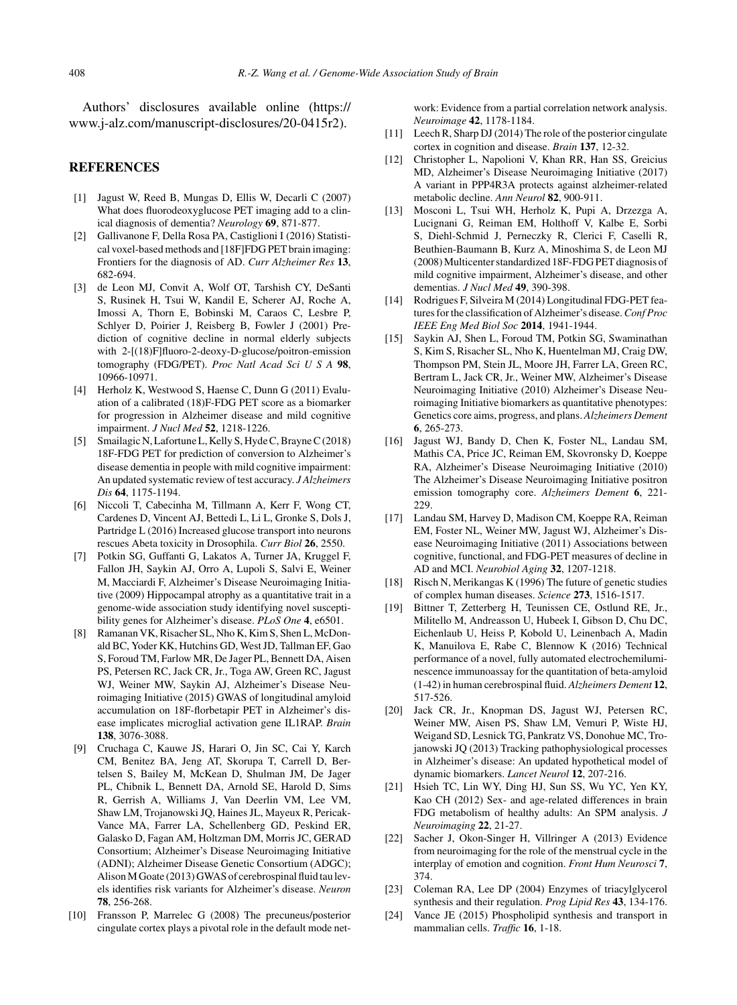Authors' disclosures available online ([https://](https://www.j-alz.com/manuscript-disclosures/20-0415r2) [www.j-alz.com/manuscript-disclosures/20-0415r2\)](https://www.j-alz.com/manuscript-disclosures/20-0415r2).

#### **REFERENCES**

- [1] Jagust W, Reed B, Mungas D, Ellis W, Decarli C (2007) What does fluorodeoxyglucose PET imaging add to a clinical diagnosis of dementia? *Neurology* **69**, 871-877.
- [2] Gallivanone F, Della Rosa PA, Castiglioni I (2016) Statistical voxel-based methods and [18F]FDG PET brain imaging: Frontiers for the diagnosis of AD. *Curr Alzheimer Res* **13**, 682-694.
- [3] de Leon MJ, Convit A, Wolf OT, Tarshish CY, DeSanti S, Rusinek H, Tsui W, Kandil E, Scherer AJ, Roche A, Imossi A, Thorn E, Bobinski M, Caraos C, Lesbre P, Schlyer D, Poirier J, Reisberg B, Fowler J (2001) Prediction of cognitive decline in normal elderly subjects with 2-[(18)F]fluoro-2-deoxy-D-glucose/poitron-emission tomography (FDG/PET). *Proc Natl Acad Sci U S A* **98**, 10966-10971.
- [4] Herholz K, Westwood S, Haense C, Dunn G (2011) Evaluation of a calibrated (18)F-FDG PET score as a biomarker for progression in Alzheimer disease and mild cognitive impairment. *J Nucl Med* **52**, 1218-1226.
- [5] Smailagic N, Lafortune L, Kelly S, Hyde C, Brayne C (2018) 18F-FDG PET for prediction of conversion to Alzheimer's disease dementia in people with mild cognitive impairment: An updated systematic review of test accuracy. *J Alzheimers Dis* **64**, 1175-1194.
- [6] Niccoli T, Cabecinha M, Tillmann A, Kerr F, Wong CT, Cardenes D, Vincent AJ, Bettedi L, Li L, Gronke S, Dols J, Partridge L (2016) Increased glucose transport into neurons rescues Abeta toxicity in Drosophila. *Curr Biol* **26**, 2550.
- [7] Potkin SG, Guffanti G, Lakatos A, Turner JA, Kruggel F, Fallon JH, Saykin AJ, Orro A, Lupoli S, Salvi E, Weiner M, Macciardi F, Alzheimer's Disease Neuroimaging Initiative (2009) Hippocampal atrophy as a quantitative trait in a genome-wide association study identifying novel susceptibility genes for Alzheimer's disease. *PLoS One* **4**, e6501.
- [8] Ramanan VK, Risacher SL, Nho K, Kim S, Shen L, McDonald BC, Yoder KK, Hutchins GD, West JD, Tallman EF, Gao S, Foroud TM, Farlow MR, De Jager PL, Bennett DA, Aisen PS, Petersen RC, Jack CR, Jr., Toga AW, Green RC, Jagust WJ, Weiner MW, Saykin AJ, Alzheimer's Disease Neuroimaging Initiative (2015) GWAS of longitudinal amyloid accumulation on 18F-florbetapir PET in Alzheimer's disease implicates microglial activation gene IL1RAP. *Brain* **138**, 3076-3088.
- [9] Cruchaga C, Kauwe JS, Harari O, Jin SC, Cai Y, Karch CM, Benitez BA, Jeng AT, Skorupa T, Carrell D, Bertelsen S, Bailey M, McKean D, Shulman JM, De Jager PL, Chibnik L, Bennett DA, Arnold SE, Harold D, Sims R, Gerrish A, Williams J, Van Deerlin VM, Lee VM, Shaw LM, Trojanowski JQ, Haines JL, Mayeux R, Pericak-Vance MA, Farrer LA, Schellenberg GD, Peskind ER, Galasko D, Fagan AM, Holtzman DM, Morris JC, GERAD Consortium; Alzheimer's Disease Neuroimaging Initiative (ADNI); Alzheimer Disease Genetic Consortium (ADGC); Alison M Goate (2013) GWAS of cerebrospinal fluid tau levels identifies risk variants for Alzheimer's disease. *Neuron* **78**, 256-268.
- [10] Fransson P, Marrelec G (2008) The precuneus/posterior cingulate cortex plays a pivotal role in the default mode net-

work: Evidence from a partial correlation network analysis. *Neuroimage* **42**, 1178-1184.

- [11] Leech R, Sharp DJ (2014) The role of the posterior cingulate cortex in cognition and disease. *Brain* **137**, 12-32.
- [12] Christopher L, Napolioni V, Khan RR, Han SS, Greicius MD, Alzheimer's Disease Neuroimaging Initiative (2017) A variant in PPP4R3A protects against alzheimer-related metabolic decline. *Ann Neurol* **82**, 900-911.
- [13] Mosconi L, Tsui WH, Herholz K, Pupi A, Drzezga A, Lucignani G, Reiman EM, Holthoff V, Kalbe E, Sorbi S, Diehl-Schmid J, Perneczky R, Clerici F, Caselli R, Beuthien-Baumann B, Kurz A, Minoshima S, de Leon MJ (2008) Multicenter standardized 18F-FDG PET diagnosis of mild cognitive impairment, Alzheimer's disease, and other dementias. *J Nucl Med* **49**, 390-398.
- [14] Rodrigues F, Silveira M (2014) Longitudinal FDG-PET features for the classification of Alzheimer's disease.*Conf Proc IEEE Eng Med Biol Soc* **2014**, 1941-1944.
- [15] Saykin AJ, Shen L, Foroud TM, Potkin SG, Swaminathan S, Kim S, Risacher SL, Nho K, Huentelman MJ, Craig DW, Thompson PM, Stein JL, Moore JH, Farrer LA, Green RC, Bertram L, Jack CR, Jr., Weiner MW, Alzheimer's Disease Neuroimaging Initiative (2010) Alzheimer's Disease Neuroimaging Initiative biomarkers as quantitative phenotypes: Genetics core aims, progress, and plans. *Alzheimers Dement* **6**, 265-273.
- [16] Jagust WJ, Bandy D, Chen K, Foster NL, Landau SM, Mathis CA, Price JC, Reiman EM, Skovronsky D, Koeppe RA, Alzheimer's Disease Neuroimaging Initiative (2010) The Alzheimer's Disease Neuroimaging Initiative positron emission tomography core. *Alzheimers Dement* **6**, 221- 229.
- [17] Landau SM, Harvey D, Madison CM, Koeppe RA, Reiman EM, Foster NL, Weiner MW, Jagust WJ, Alzheimer's Disease Neuroimaging Initiative (2011) Associations between cognitive, functional, and FDG-PET measures of decline in AD and MCI. *Neurobiol Aging* **32**, 1207-1218.
- [18] Risch N, Merikangas K (1996) The future of genetic studies of complex human diseases. *Science* **273**, 1516-1517.
- [19] Bittner T, Zetterberg H, Teunissen CE, Ostlund RE, Jr., Militello M, Andreasson U, Hubeek I, Gibson D, Chu DC, Eichenlaub U, Heiss P, Kobold U, Leinenbach A, Madin K, Manuilova E, Rabe C, Blennow K (2016) Technical performance of a novel, fully automated electrochemiluminescence immunoassay for the quantitation of beta-amyloid (1-42) in human cerebrospinal fluid. *Alzheimers Dement* **12**, 517-526.
- [20] Jack CR, Jr., Knopman DS, Jagust WJ, Petersen RC, Weiner MW, Aisen PS, Shaw LM, Vemuri P, Wiste HJ, Weigand SD, Lesnick TG, Pankratz VS, Donohue MC, Trojanowski JQ (2013) Tracking pathophysiological processes in Alzheimer's disease: An updated hypothetical model of dynamic biomarkers. *Lancet Neurol* **12**, 207-216.
- [21] Hsieh TC, Lin WY, Ding HJ, Sun SS, Wu YC, Yen KY, Kao CH (2012) Sex- and age-related differences in brain FDG metabolism of healthy adults: An SPM analysis. *J Neuroimaging* **22**, 21-27.
- [22] Sacher J, Okon-Singer H, Villringer A (2013) Evidence from neuroimaging for the role of the menstrual cycle in the interplay of emotion and cognition. *Front Hum Neurosci* **7**, 374.
- [23] Coleman RA, Lee DP (2004) Enzymes of triacylglycerol synthesis and their regulation. *Prog Lipid Res* **43**, 134-176.
- [24] Vance JE (2015) Phospholipid synthesis and transport in mammalian cells. *Traffic* **16**, 1-18.